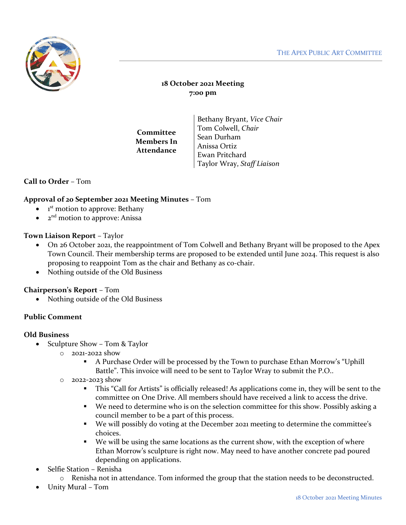

# **18 October 2021 Meeting 7:00 pm**

**Committee Members In Attendance**

Bethany Bryant, *Vice Chair* Tom Colwell, *Chair* Sean Durham Anissa Ortiz Ewan Pritchard Taylor Wray, *Staff Liaison*

## **Call to Order** – Tom

### **Approval of 20 September 2021 Meeting Minutes** – Tom

- $\bullet$  1<sup>st</sup> motion to approve: Bethany
- $\bullet$   $\bullet$   $2^{nd}$  motion to approve: Anissa

### **Town Liaison Report** – Taylor

- On 26 October 2021, the reappointment of Tom Colwell and Bethany Bryant will be proposed to the Apex Town Council. Their membership terms are proposed to be extended until June 2024. This request is also proposing to reappoint Tom as the chair and Bethany as co-chair.
- Nothing outside of the Old Business

### **Chairperson's Report** – Tom

• Nothing outside of the Old Business

### **Public Comment**

### **Old Business**

- Sculpture Show Tom & Taylor
	- o 2021-2022 show
		- A Purchase Order will be processed by the Town to purchase Ethan Morrow's "Uphill Battle". This invoice will need to be sent to Taylor Wray to submit the P.O..
	- o 2022-2023 show
		- This "Call for Artists" is officially released! As applications come in, they will be sent to the committee on One Drive. All members should have received a link to access the drive.
		- We need to determine who is on the selection committee for this show. Possibly asking a council member to be a part of this process.
		- We will possibly do voting at the December 2021 meeting to determine the committee's choices.
		- We will be using the same locations as the current show, with the exception of where Ethan Morrow's sculpture is right now. May need to have another concrete pad poured depending on applications.
- Selfie Station Renisha
	- o Renisha not in attendance. Tom informed the group that the station needs to be deconstructed.
- Unity Mural Tom